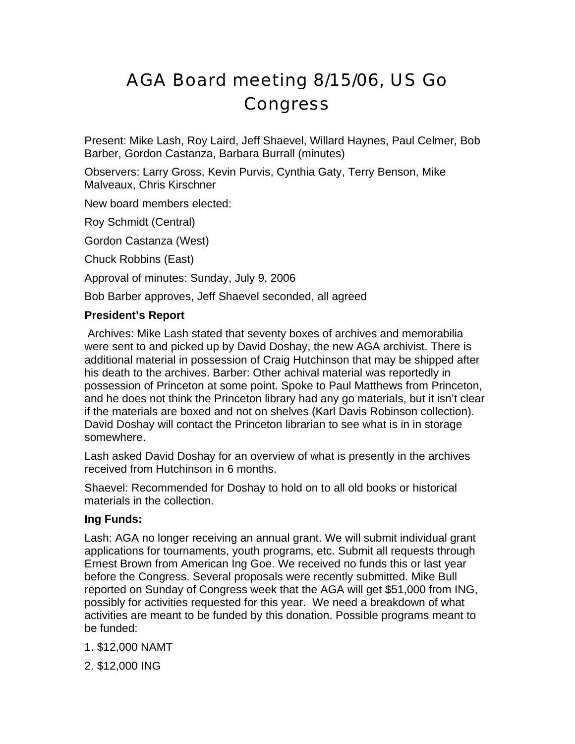# AGA Board meeting 8/15/06, US Go **Congress**

Present: Mike Lash, Roy Laird, Jeff Shaevel, Willard Haynes, Paul Celmer, Bob Barber, Gordon Castanza, Barbara Burrall (minutes)

Observers: Larry Gross, Kevin Purvis, Cynthia Gaty, Terry Benson, Mike Malveaux, Chris Kirschner

New board members elected:

Roy Schmidt (Central)

Gordon Castanza (West)

Chuck Robbins (East)

Approval of minutes: Sunday, July 9, 2006

Bob Barber approves, Jeff Shaevel seconded, all agreed

### **President's Report**

 Archives: Mike Lash stated that seventy boxes of archives and memorabilia were sent to and picked up by David Doshay, the new AGA archivist. There is additional material in possession of Craig Hutchinson that may be shipped after his death to the archives. Barber: Other achival material was reportedly in possession of Princeton at some point. Spoke to Paul Matthews from Princeton, and he does not think the Princeton library had any go materials, but it isn't clear if the materials are boxed and not on shelves (Karl Davis Robinson collection). David Doshay will contact the Princeton librarian to see what is in in storage somewhere.

Lash asked David Doshay for an overview of what is presently in the archives received from Hutchinson in 6 months.

Shaevel: Recommended for Doshay to hold on to all old books or historical materials in the collection.

### **Ing Funds:**

Lash: AGA no longer receiving an annual grant. We will submit individual grant applications for tournaments, youth programs, etc. Submit all requests through Ernest Brown from American Ing Goe. We received no funds this or last year before the Congress. Several proposals were recently submitted. Mike Bull reported on Sunday of Congress week that the AGA will get \$51,000 from ING, possibly for activities requested for this year. We need a breakdown of what activities are meant to be funded by this donation. Possible programs meant to be funded:

1. \$12,000 NAMT

2. \$12,000 ING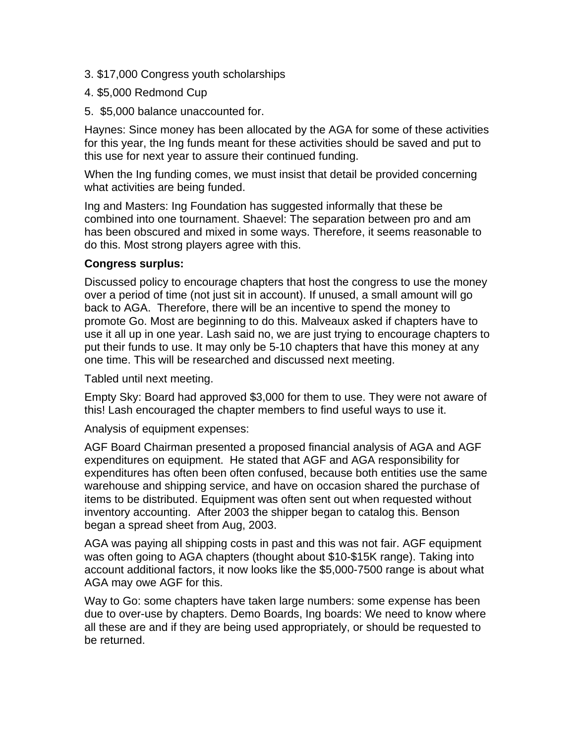- 3. \$17,000 Congress youth scholarships
- 4. \$5,000 Redmond Cup
- 5. \$5,000 balance unaccounted for.

Haynes: Since money has been allocated by the AGA for some of these activities for this year, the Ing funds meant for these activities should be saved and put to this use for next year to assure their continued funding.

When the Ing funding comes, we must insist that detail be provided concerning what activities are being funded.

Ing and Masters: Ing Foundation has suggested informally that these be combined into one tournament. Shaevel: The separation between pro and am has been obscured and mixed in some ways. Therefore, it seems reasonable to do this. Most strong players agree with this.

# **Congress surplus:**

Discussed policy to encourage chapters that host the congress to use the money over a period of time (not just sit in account). If unused, a small amount will go back to AGA. Therefore, there will be an incentive to spend the money to promote Go. Most are beginning to do this. Malveaux asked if chapters have to use it all up in one year. Lash said no, we are just trying to encourage chapters to put their funds to use. It may only be 5-10 chapters that have this money at any one time. This will be researched and discussed next meeting.

Tabled until next meeting.

Empty Sky: Board had approved \$3,000 for them to use. They were not aware of this! Lash encouraged the chapter members to find useful ways to use it.

Analysis of equipment expenses:

AGF Board Chairman presented a proposed financial analysis of AGA and AGF expenditures on equipment. He stated that AGF and AGA responsibility for expenditures has often been often confused, because both entities use the same warehouse and shipping service, and have on occasion shared the purchase of items to be distributed. Equipment was often sent out when requested without inventory accounting. After 2003 the shipper began to catalog this. Benson began a spread sheet from Aug, 2003.

AGA was paying all shipping costs in past and this was not fair. AGF equipment was often going to AGA chapters (thought about \$10-\$15K range). Taking into account additional factors, it now looks like the \$5,000-7500 range is about what AGA may owe AGF for this.

Way to Go: some chapters have taken large numbers: some expense has been due to over-use by chapters. Demo Boards, Ing boards: We need to know where all these are and if they are being used appropriately, or should be requested to be returned.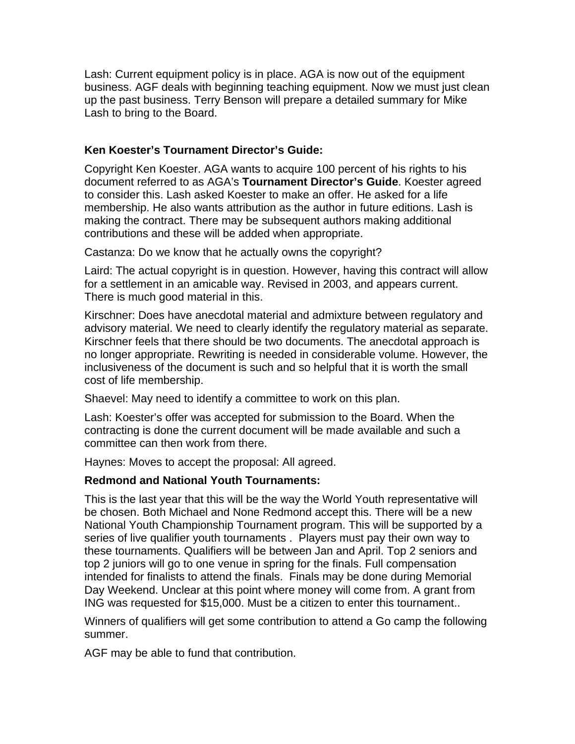Lash: Current equipment policy is in place. AGA is now out of the equipment business. AGF deals with beginning teaching equipment. Now we must just clean up the past business. Terry Benson will prepare a detailed summary for Mike Lash to bring to the Board.

# **Ken Koester's Tournament Director's Guide:**

Copyright Ken Koester. AGA wants to acquire 100 percent of his rights to his document referred to as AGA's **Tournament Director's Guide**. Koester agreed to consider this. Lash asked Koester to make an offer. He asked for a life membership. He also wants attribution as the author in future editions. Lash is making the contract. There may be subsequent authors making additional contributions and these will be added when appropriate.

Castanza: Do we know that he actually owns the copyright?

Laird: The actual copyright is in question. However, having this contract will allow for a settlement in an amicable way. Revised in 2003, and appears current. There is much good material in this.

Kirschner: Does have anecdotal material and admixture between regulatory and advisory material. We need to clearly identify the regulatory material as separate. Kirschner feels that there should be two documents. The anecdotal approach is no longer appropriate. Rewriting is needed in considerable volume. However, the inclusiveness of the document is such and so helpful that it is worth the small cost of life membership.

Shaevel: May need to identify a committee to work on this plan.

Lash: Koester's offer was accepted for submission to the Board. When the contracting is done the current document will be made available and such a committee can then work from there.

Haynes: Moves to accept the proposal: All agreed.

### **Redmond and National Youth Tournaments:**

This is the last year that this will be the way the World Youth representative will be chosen. Both Michael and None Redmond accept this. There will be a new National Youth Championship Tournament program. This will be supported by a series of live qualifier youth tournaments . Players must pay their own way to these tournaments. Qualifiers will be between Jan and April. Top 2 seniors and top 2 juniors will go to one venue in spring for the finals. Full compensation intended for finalists to attend the finals. Finals may be done during Memorial Day Weekend. Unclear at this point where money will come from. A grant from ING was requested for \$15,000. Must be a citizen to enter this tournament..

Winners of qualifiers will get some contribution to attend a Go camp the following summer.

AGF may be able to fund that contribution.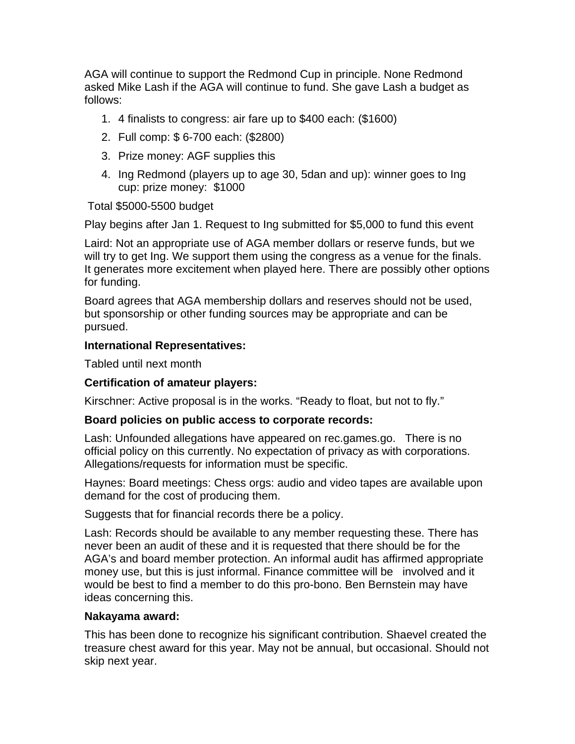AGA will continue to support the Redmond Cup in principle. None Redmond asked Mike Lash if the AGA will continue to fund. She gave Lash a budget as follows:

- 1. 4 finalists to congress: air fare up to \$400 each: (\$1600)
- 2. Full comp: \$ 6-700 each: (\$2800)
- 3. Prize money: AGF supplies this
- 4. Ing Redmond (players up to age 30, 5dan and up): winner goes to Ing cup: prize money: \$1000

Total \$5000-5500 budget

Play begins after Jan 1. Request to Ing submitted for \$5,000 to fund this event

Laird: Not an appropriate use of AGA member dollars or reserve funds, but we will try to get Ing. We support them using the congress as a venue for the finals. It generates more excitement when played here. There are possibly other options for funding.

Board agrees that AGA membership dollars and reserves should not be used, but sponsorship or other funding sources may be appropriate and can be pursued.

### **International Representatives:**

Tabled until next month

### **Certification of amateur players:**

Kirschner: Active proposal is in the works. "Ready to float, but not to fly."

#### **Board policies on public access to corporate records:**

Lash: Unfounded allegations have appeared on rec.games.go. There is no official policy on this currently. No expectation of privacy as with corporations. Allegations/requests for information must be specific.

Haynes: Board meetings: Chess orgs: audio and video tapes are available upon demand for the cost of producing them.

Suggests that for financial records there be a policy.

Lash: Records should be available to any member requesting these. There has never been an audit of these and it is requested that there should be for the AGA's and board member protection. An informal audit has affirmed appropriate money use, but this is just informal. Finance committee will be involved and it would be best to find a member to do this pro-bono. Ben Bernstein may have ideas concerning this.

### **Nakayama award:**

This has been done to recognize his significant contribution. Shaevel created the treasure chest award for this year. May not be annual, but occasional. Should not skip next year.